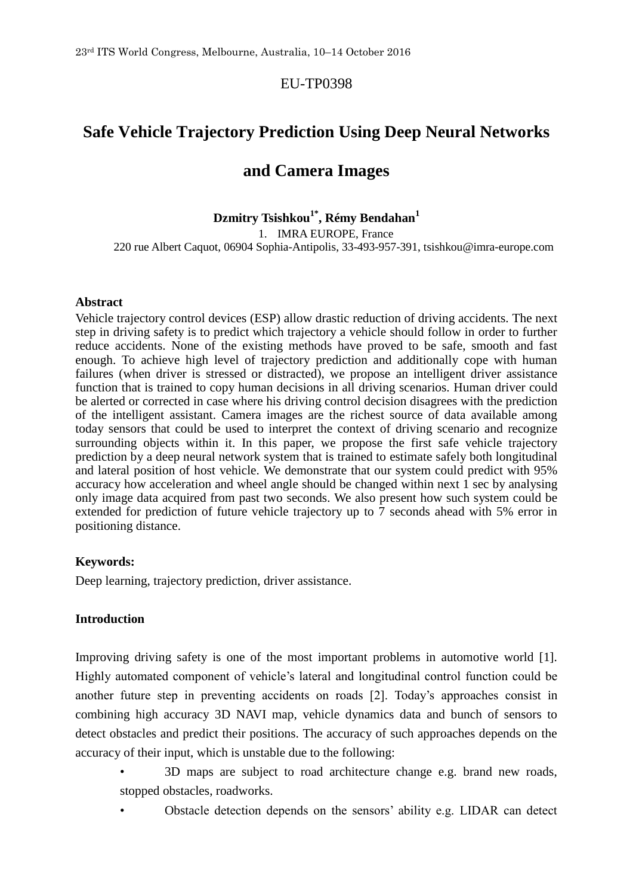# EU-TP0398

# **Safe Vehicle Trajectory Prediction Using Deep Neural Networks**

# **and Camera Images**

# **Dzmitry Tsishkou1\* , Rémy Bendahan<sup>1</sup>**

1. IMRA EUROPE, France 220 rue Albert Caquot, 06904 Sophia-Antipolis, 33-493-957-391, tsishkou@imra-europe.com

#### **Abstract**

Vehicle trajectory control devices (ESP) allow drastic reduction of driving accidents. The next step in driving safety is to predict which trajectory a vehicle should follow in order to further reduce accidents. None of the existing methods have proved to be safe, smooth and fast enough. To achieve high level of trajectory prediction and additionally cope with human failures (when driver is stressed or distracted), we propose an intelligent driver assistance function that is trained to copy human decisions in all driving scenarios. Human driver could be alerted or corrected in case where his driving control decision disagrees with the prediction of the intelligent assistant. Camera images are the richest source of data available among today sensors that could be used to interpret the context of driving scenario and recognize surrounding objects within it. In this paper, we propose the first safe vehicle trajectory prediction by a deep neural network system that is trained to estimate safely both longitudinal and lateral position of host vehicle. We demonstrate that our system could predict with 95% accuracy how acceleration and wheel angle should be changed within next 1 sec by analysing only image data acquired from past two seconds. We also present how such system could be extended for prediction of future vehicle trajectory up to 7 seconds ahead with 5% error in positioning distance.

# **Keywords:**

Deep learning, trajectory prediction, driver assistance.

# **Introduction**

Improving driving safety is one of the most important problems in automotive world [1]. Highly automated component of vehicle's lateral and longitudinal control function could be another future step in preventing accidents on roads [2]. Today's approaches consist in combining high accuracy 3D NAVI map, vehicle dynamics data and bunch of sensors to detect obstacles and predict their positions. The accuracy of such approaches depends on the accuracy of their input, which is unstable due to the following:

- 3D maps are subject to road architecture change e.g. brand new roads, stopped obstacles, roadworks.
	- Obstacle detection depends on the sensors' ability e.g. LIDAR can detect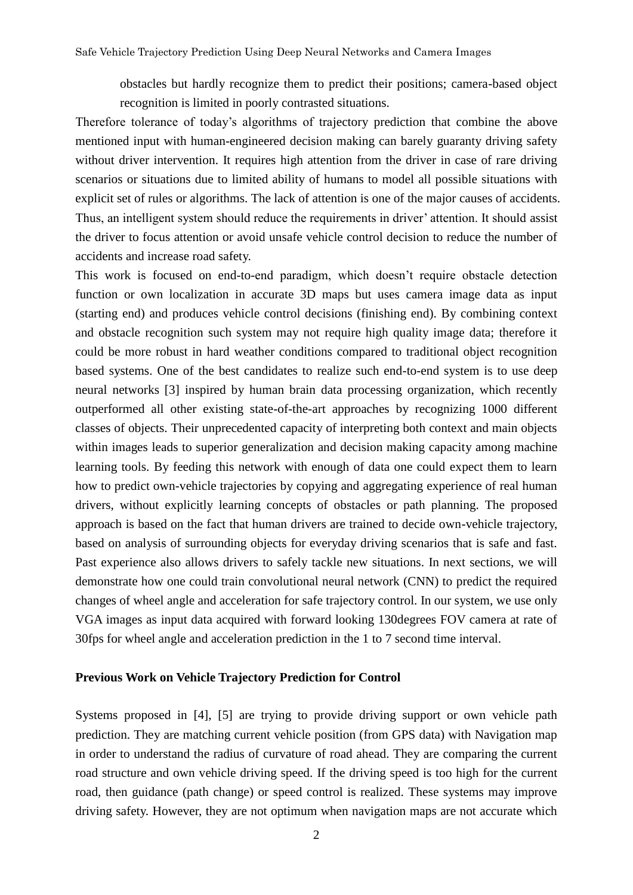obstacles but hardly recognize them to predict their positions; camera-based object recognition is limited in poorly contrasted situations.

Therefore tolerance of today's algorithms of trajectory prediction that combine the above mentioned input with human-engineered decision making can barely guaranty driving safety without driver intervention. It requires high attention from the driver in case of rare driving scenarios or situations due to limited ability of humans to model all possible situations with explicit set of rules or algorithms. The lack of attention is one of the major causes of accidents. Thus, an intelligent system should reduce the requirements in driver' attention. It should assist the driver to focus attention or avoid unsafe vehicle control decision to reduce the number of accidents and increase road safety.

This work is focused on end-to-end paradigm, which doesn't require obstacle detection function or own localization in accurate 3D maps but uses camera image data as input (starting end) and produces vehicle control decisions (finishing end). By combining context and obstacle recognition such system may not require high quality image data; therefore it could be more robust in hard weather conditions compared to traditional object recognition based systems. One of the best candidates to realize such end-to-end system is to use deep neural networks [3] inspired by human brain data processing organization, which recently outperformed all other existing state-of-the-art approaches by recognizing 1000 different classes of objects. Their unprecedented capacity of interpreting both context and main objects within images leads to superior generalization and decision making capacity among machine learning tools. By feeding this network with enough of data one could expect them to learn how to predict own-vehicle trajectories by copying and aggregating experience of real human drivers, without explicitly learning concepts of obstacles or path planning. The proposed approach is based on the fact that human drivers are trained to decide own-vehicle trajectory, based on analysis of surrounding objects for everyday driving scenarios that is safe and fast. Past experience also allows drivers to safely tackle new situations. In next sections, we will demonstrate how one could train convolutional neural network (CNN) to predict the required changes of wheel angle and acceleration for safe trajectory control. In our system, we use only VGA images as input data acquired with forward looking 130degrees FOV camera at rate of 30fps for wheel angle and acceleration prediction in the 1 to 7 second time interval.

### **Previous Work on Vehicle Trajectory Prediction for Control**

Systems proposed in [4], [5] are trying to provide driving support or own vehicle path prediction. They are matching current vehicle position (from GPS data) with Navigation map in order to understand the radius of curvature of road ahead. They are comparing the current road structure and own vehicle driving speed. If the driving speed is too high for the current road, then guidance (path change) or speed control is realized. These systems may improve driving safety. However, they are not optimum when navigation maps are not accurate which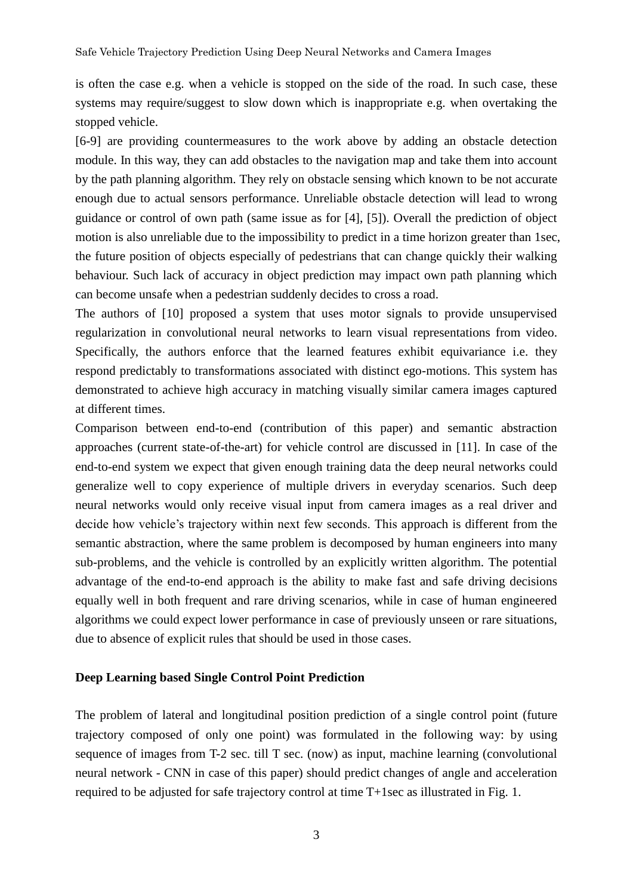is often the case e.g. when a vehicle is stopped on the side of the road. In such case, these systems may require/suggest to slow down which is inappropriate e.g. when overtaking the stopped vehicle.

[6-9] are providing countermeasures to the work above by adding an obstacle detection module. In this way, they can add obstacles to the navigation map and take them into account by the path planning algorithm. They rely on obstacle sensing which known to be not accurate enough due to actual sensors performance. Unreliable obstacle detection will lead to wrong guidance or control of own path (same issue as for [4], [5]). Overall the prediction of object motion is also unreliable due to the impossibility to predict in a time horizon greater than 1sec, the future position of objects especially of pedestrians that can change quickly their walking behaviour. Such lack of accuracy in object prediction may impact own path planning which can become unsafe when a pedestrian suddenly decides to cross a road.

The authors of [10] proposed a system that uses motor signals to provide unsupervised regularization in convolutional neural networks to learn visual representations from video. Specifically, the authors enforce that the learned features exhibit equivariance i.e. they respond predictably to transformations associated with distinct ego-motions. This system has demonstrated to achieve high accuracy in matching visually similar camera images captured at different times.

Comparison between end-to-end (contribution of this paper) and semantic abstraction approaches (current state-of-the-art) for vehicle control are discussed in [11]. In case of the end-to-end system we expect that given enough training data the deep neural networks could generalize well to copy experience of multiple drivers in everyday scenarios. Such deep neural networks would only receive visual input from camera images as a real driver and decide how vehicle's trajectory within next few seconds. This approach is different from the semantic abstraction, where the same problem is decomposed by human engineers into many sub-problems, and the vehicle is controlled by an explicitly written algorithm. The potential advantage of the end-to-end approach is the ability to make fast and safe driving decisions equally well in both frequent and rare driving scenarios, while in case of human engineered algorithms we could expect lower performance in case of previously unseen or rare situations, due to absence of explicit rules that should be used in those cases.

#### **Deep Learning based Single Control Point Prediction**

The problem of lateral and longitudinal position prediction of a single control point (future trajectory composed of only one point) was formulated in the following way: by using sequence of images from T-2 sec. till T sec. (now) as input, machine learning (convolutional neural network - CNN in case of this paper) should predict changes of angle and acceleration required to be adjusted for safe trajectory control at time T+1sec as illustrated in Fig. 1.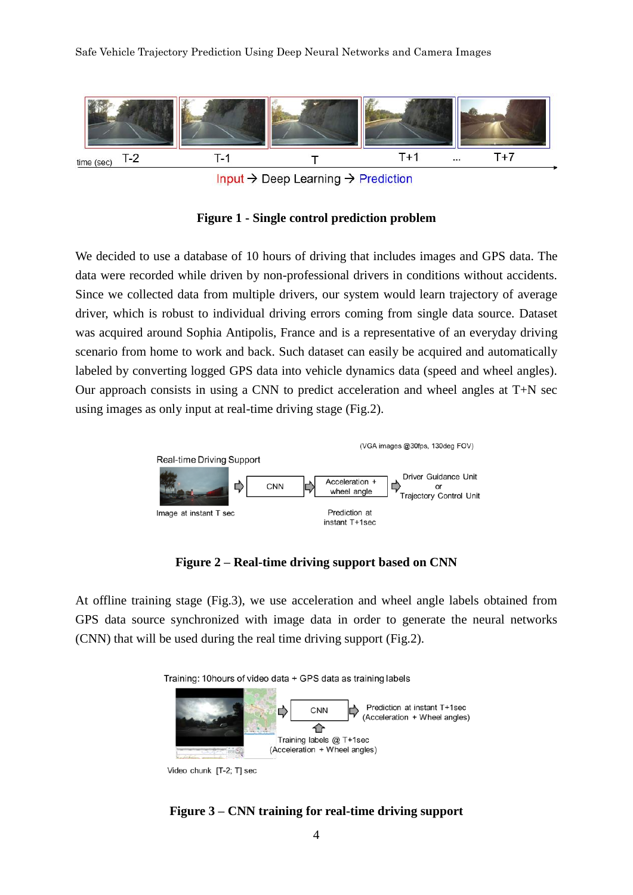Safe Vehicle Trajectory Prediction Using Deep Neural Networks and Camera Images



Input  $\rightarrow$  Deep Learning  $\rightarrow$  Prediction

**Figure 1 - Single control prediction problem**

We decided to use a database of 10 hours of driving that includes images and GPS data. The data were recorded while driven by non-professional drivers in conditions without accidents. Since we collected data from multiple drivers, our system would learn trajectory of average driver, which is robust to individual driving errors coming from single data source. Dataset was acquired around Sophia Antipolis, France and is a representative of an everyday driving scenario from home to work and back. Such dataset can easily be acquired and automatically labeled by converting logged GPS data into vehicle dynamics data (speed and wheel angles). Our approach consists in using a CNN to predict acceleration and wheel angles at T+N sec using images as only input at real-time driving stage (Fig.2).



**Figure 2 – Real-time driving support based on CNN**

At offline training stage (Fig.3), we use acceleration and wheel angle labels obtained from GPS data source synchronized with image data in order to generate the neural networks (CNN) that will be used during the real time driving support (Fig.2).





Video chunk [T-2; T] sec

# **Figure 3 – CNN training for real-time driving support**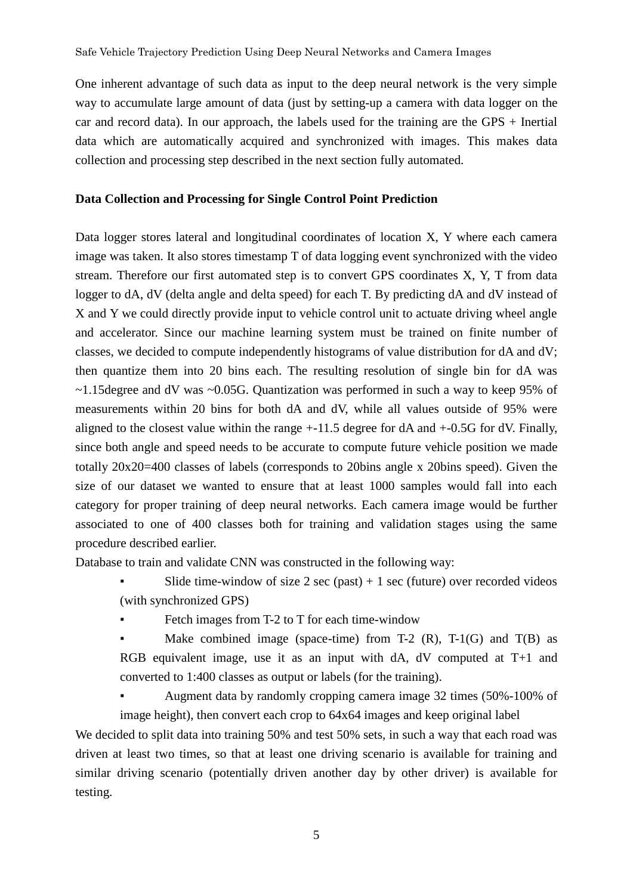One inherent advantage of such data as input to the deep neural network is the very simple way to accumulate large amount of data (just by setting-up a camera with data logger on the car and record data). In our approach, the labels used for the training are the GPS  $+$  Inertial data which are automatically acquired and synchronized with images. This makes data collection and processing step described in the next section fully automated.

# **Data Collection and Processing for Single Control Point Prediction**

Data logger stores lateral and longitudinal coordinates of location X, Y where each camera image was taken. It also stores timestamp T of data logging event synchronized with the video stream. Therefore our first automated step is to convert GPS coordinates X, Y, T from data logger to dA, dV (delta angle and delta speed) for each T. By predicting dA and dV instead of X and Y we could directly provide input to vehicle control unit to actuate driving wheel angle and accelerator. Since our machine learning system must be trained on finite number of classes, we decided to compute independently histograms of value distribution for dA and dV; then quantize them into 20 bins each. The resulting resolution of single bin for dA was  $\sim$ 1.15degree and dV was  $\sim$ 0.05G. Quantization was performed in such a way to keep 95% of measurements within 20 bins for both dA and dV, while all values outside of 95% were aligned to the closest value within the range +-11.5 degree for dA and +-0.5G for dV. Finally, since both angle and speed needs to be accurate to compute future vehicle position we made totally 20x20=400 classes of labels (corresponds to 20bins angle x 20bins speed). Given the size of our dataset we wanted to ensure that at least 1000 samples would fall into each category for proper training of deep neural networks. Each camera image would be further associated to one of 400 classes both for training and validation stages using the same procedure described earlier.

Database to train and validate CNN was constructed in the following way:

- Slide time-window of size  $2 \sec(\text{past}) + 1 \sec(\text{future})$  over recorded videos (with synchronized GPS)
- Fetch images from T-2 to T for each time-window
- Make combined image (space-time) from T-2  $(R)$ , T-1 $(G)$  and T $(B)$  as RGB equivalent image, use it as an input with dA, dV computed at T+1 and converted to 1:400 classes as output or labels (for the training).
- Augment data by randomly cropping camera image 32 times (50%-100% of image height), then convert each crop to 64x64 images and keep original label

We decided to split data into training 50% and test 50% sets, in such a way that each road was driven at least two times, so that at least one driving scenario is available for training and similar driving scenario (potentially driven another day by other driver) is available for testing.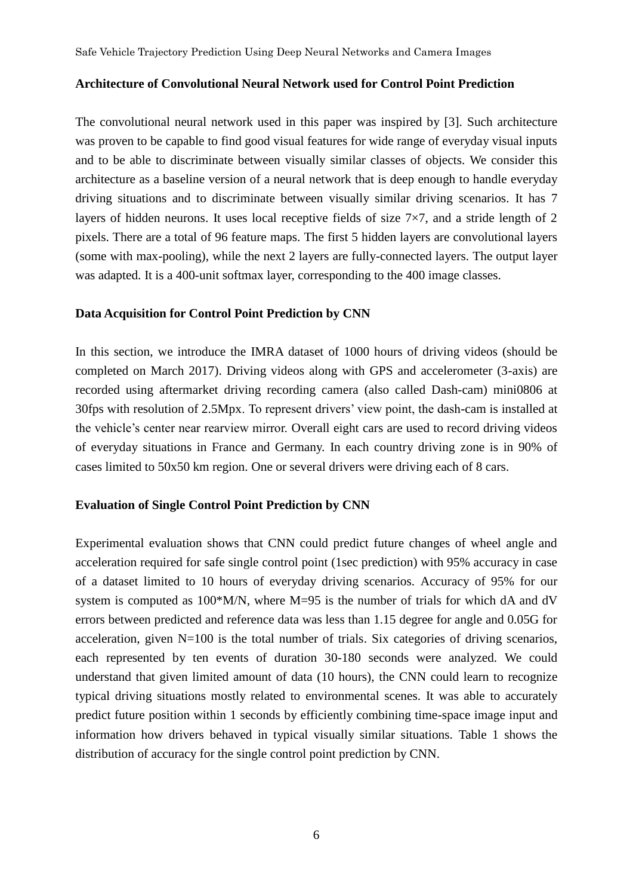#### **Architecture of Convolutional Neural Network used for Control Point Prediction**

The convolutional neural network used in this paper was inspired by [3]. Such architecture was proven to be capable to find good visual features for wide range of everyday visual inputs and to be able to discriminate between visually similar classes of objects. We consider this architecture as a baseline version of a neural network that is deep enough to handle everyday driving situations and to discriminate between visually similar driving scenarios. It has 7 layers of hidden neurons. It uses local receptive fields of size 7×7, and a stride length of 2 pixels. There are a total of 96 feature maps. The first 5 hidden layers are convolutional layers (some with max-pooling), while the next 2 layers are fully-connected layers. The output layer was adapted. It is a 400-unit softmax layer, corresponding to the 400 image classes.

### **Data Acquisition for Control Point Prediction by CNN**

In this section, we introduce the IMRA dataset of 1000 hours of driving videos (should be completed on March 2017). Driving videos along with GPS and accelerometer (3-axis) are recorded using aftermarket driving recording camera (also called Dash-cam) mini0806 at 30fps with resolution of 2.5Mpx. To represent drivers' view point, the dash-cam is installed at the vehicle's center near rearview mirror. Overall eight cars are used to record driving videos of everyday situations in France and Germany. In each country driving zone is in 90% of cases limited to 50x50 km region. One or several drivers were driving each of 8 cars.

#### **Evaluation of Single Control Point Prediction by CNN**

Experimental evaluation shows that CNN could predict future changes of wheel angle and acceleration required for safe single control point (1sec prediction) with 95% accuracy in case of a dataset limited to 10 hours of everyday driving scenarios. Accuracy of 95% for our system is computed as 100\*M/N, where M=95 is the number of trials for which dA and dV errors between predicted and reference data was less than 1.15 degree for angle and 0.05G for acceleration, given N=100 is the total number of trials. Six categories of driving scenarios, each represented by ten events of duration 30-180 seconds were analyzed. We could understand that given limited amount of data (10 hours), the CNN could learn to recognize typical driving situations mostly related to environmental scenes. It was able to accurately predict future position within 1 seconds by efficiently combining time-space image input and information how drivers behaved in typical visually similar situations. Table 1 shows the distribution of accuracy for the single control point prediction by CNN.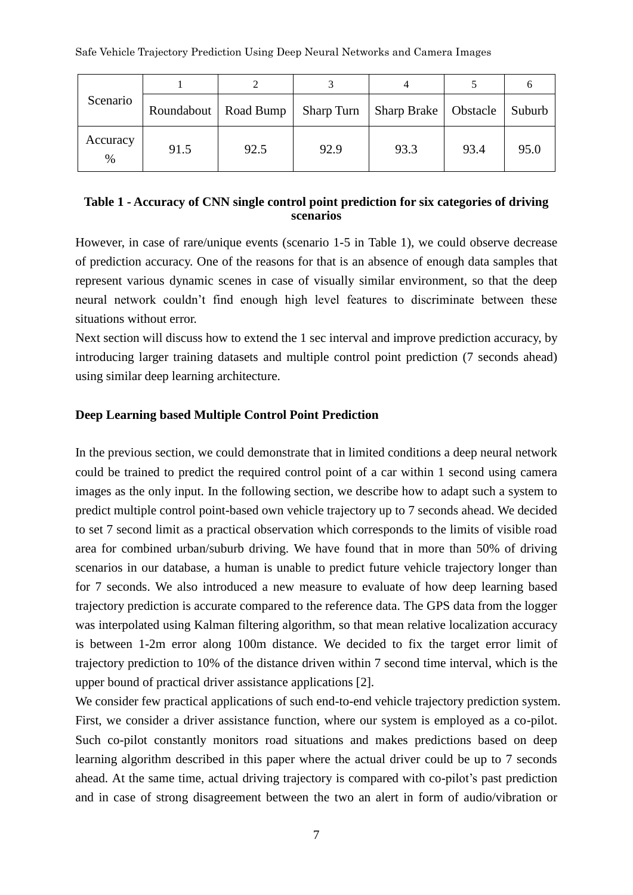| Scenario         | Roundabout   Road Bump |      | Sharp Turn | Sharp Brake   Obstacle |      | Suburb |
|------------------|------------------------|------|------------|------------------------|------|--------|
| Accuracy<br>$\%$ | 91.5                   | 92.5 | 92.9       | 93.3                   | 93.4 | 95.0   |

# **Table 1 - Accuracy of CNN single control point prediction for six categories of driving scenarios**

However, in case of rare/unique events (scenario 1-5 in Table 1), we could observe decrease of prediction accuracy. One of the reasons for that is an absence of enough data samples that represent various dynamic scenes in case of visually similar environment, so that the deep neural network couldn't find enough high level features to discriminate between these situations without error.

Next section will discuss how to extend the 1 sec interval and improve prediction accuracy, by introducing larger training datasets and multiple control point prediction (7 seconds ahead) using similar deep learning architecture.

### **Deep Learning based Multiple Control Point Prediction**

In the previous section, we could demonstrate that in limited conditions a deep neural network could be trained to predict the required control point of a car within 1 second using camera images as the only input. In the following section, we describe how to adapt such a system to predict multiple control point-based own vehicle trajectory up to 7 seconds ahead. We decided to set 7 second limit as a practical observation which corresponds to the limits of visible road area for combined urban/suburb driving. We have found that in more than 50% of driving scenarios in our database, a human is unable to predict future vehicle trajectory longer than for 7 seconds. We also introduced a new measure to evaluate of how deep learning based trajectory prediction is accurate compared to the reference data. The GPS data from the logger was interpolated using Kalman filtering algorithm, so that mean relative localization accuracy is between 1-2m error along 100m distance. We decided to fix the target error limit of trajectory prediction to 10% of the distance driven within 7 second time interval, which is the upper bound of practical driver assistance applications [2].

We consider few practical applications of such end-to-end vehicle trajectory prediction system. First, we consider a driver assistance function, where our system is employed as a co-pilot. Such co-pilot constantly monitors road situations and makes predictions based on deep learning algorithm described in this paper where the actual driver could be up to 7 seconds ahead. At the same time, actual driving trajectory is compared with co-pilot's past prediction and in case of strong disagreement between the two an alert in form of audio/vibration or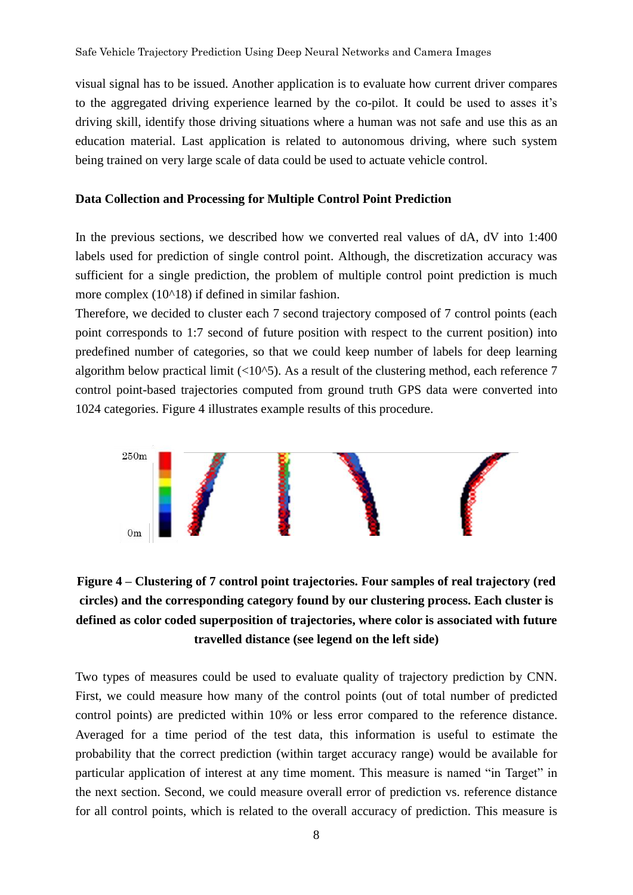visual signal has to be issued. Another application is to evaluate how current driver compares to the aggregated driving experience learned by the co-pilot. It could be used to asses it's driving skill, identify those driving situations where a human was not safe and use this as an education material. Last application is related to autonomous driving, where such system being trained on very large scale of data could be used to actuate vehicle control.

#### **Data Collection and Processing for Multiple Control Point Prediction**

In the previous sections, we described how we converted real values of dA, dV into 1:400 labels used for prediction of single control point. Although, the discretization accuracy was sufficient for a single prediction, the problem of multiple control point prediction is much more complex  $(10<sup>18</sup>)$  if defined in similar fashion.

Therefore, we decided to cluster each 7 second trajectory composed of 7 control points (each point corresponds to 1:7 second of future position with respect to the current position) into predefined number of categories, so that we could keep number of labels for deep learning algorithm below practical limit  $\left($ <10^5). As a result of the clustering method, each reference 7 control point-based trajectories computed from ground truth GPS data were converted into 1024 categories. Figure 4 illustrates example results of this procedure.



# **Figure 4 – Clustering of 7 control point trajectories. Four samples of real trajectory (red circles) and the corresponding category found by our clustering process. Each cluster is defined as color coded superposition of trajectories, where color is associated with future travelled distance (see legend on the left side)**

Two types of measures could be used to evaluate quality of trajectory prediction by CNN. First, we could measure how many of the control points (out of total number of predicted control points) are predicted within 10% or less error compared to the reference distance. Averaged for a time period of the test data, this information is useful to estimate the probability that the correct prediction (within target accuracy range) would be available for particular application of interest at any time moment. This measure is named "in Target" in the next section. Second, we could measure overall error of prediction vs. reference distance for all control points, which is related to the overall accuracy of prediction. This measure is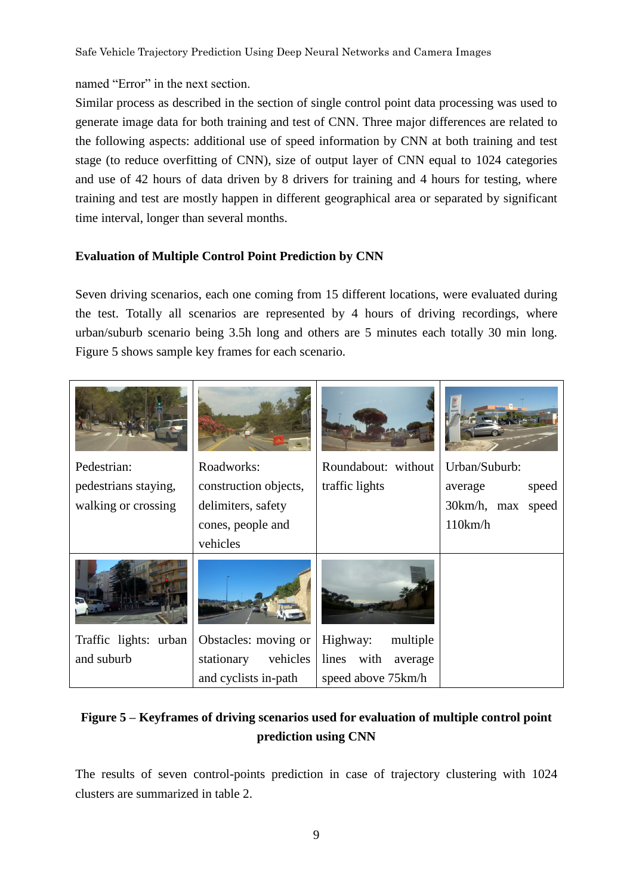# named "Error" in the next section.

Similar process as described in the section of single control point data processing was used to generate image data for both training and test of CNN. Three major differences are related to the following aspects: additional use of speed information by CNN at both training and test stage (to reduce overfitting of CNN), size of output layer of CNN equal to 1024 categories and use of 42 hours of data driven by 8 drivers for training and 4 hours for testing, where training and test are mostly happen in different geographical area or separated by significant time interval, longer than several months.

# **Evaluation of Multiple Control Point Prediction by CNN**

Seven driving scenarios, each one coming from 15 different locations, were evaluated during the test. Totally all scenarios are represented by 4 hours of driving recordings, where urban/suburb scenario being 3.5h long and others are 5 minutes each totally 30 min long. Figure 5 shows sample key frames for each scenario.

| Pedestrian:           | Roadworks:             | Roundabout: without      | Urban/Suburb:     |
|-----------------------|------------------------|--------------------------|-------------------|
| pedestrians staying,  | construction objects,  | traffic lights           | speed<br>average  |
| walking or crossing   | delimiters, safety     |                          | 30km/h, max speed |
|                       | cones, people and      |                          | 110km/h           |
|                       | vehicles               |                          |                   |
|                       |                        |                          |                   |
| Traffic lights: urban | Obstacles: moving or   | Highway:<br>multiple     |                   |
| and suburb            | stationary<br>vehicles | lines<br>with<br>average |                   |
|                       | and cyclists in-path   | speed above 75km/h       |                   |

# **Figure 5 – Keyframes of driving scenarios used for evaluation of multiple control point prediction using CNN**

The results of seven control-points prediction in case of trajectory clustering with 1024 clusters are summarized in table 2.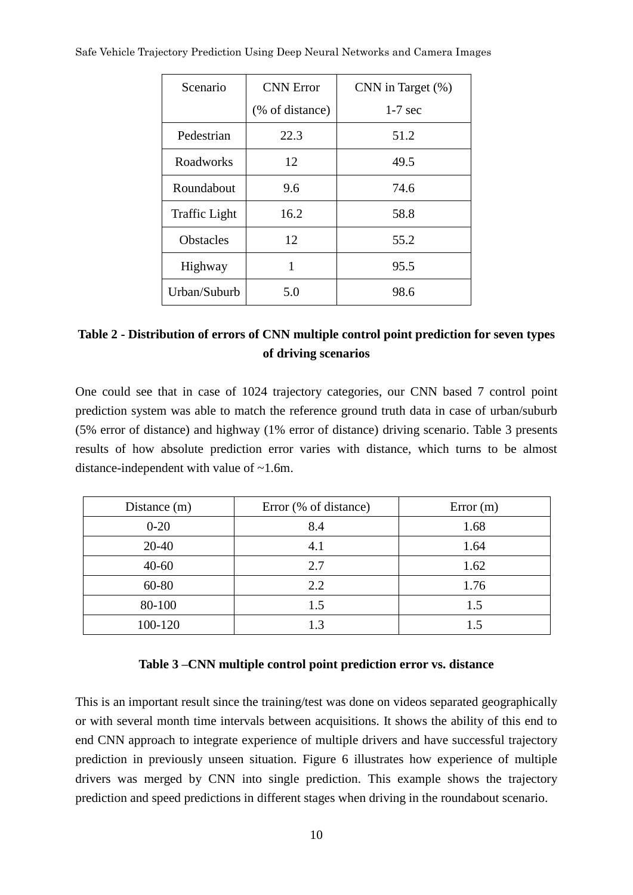| Scenario         | <b>CNN</b> Error | CNN in Target (%) |  |
|------------------|------------------|-------------------|--|
|                  | (% of distance)  | $1-7$ sec         |  |
| Pedestrian       | 22.3             | 51.2              |  |
| Roadworks        | 12               | 49.5              |  |
| Roundabout       | 9.6              | 74.6              |  |
| Traffic Light    | 16.2             | 58.8              |  |
| <b>Obstacles</b> | 12               | 55.2              |  |
| Highway          | 1                | 95.5              |  |
| Urban/Suburb     | 5.0              | 98.6              |  |

# Safe Vehicle Trajectory Prediction Using Deep Neural Networks and Camera Images

# **Table 2 - Distribution of errors of CNN multiple control point prediction for seven types of driving scenarios**

One could see that in case of 1024 trajectory categories, our CNN based 7 control point prediction system was able to match the reference ground truth data in case of urban/suburb (5% error of distance) and highway (1% error of distance) driving scenario. Table 3 presents results of how absolute prediction error varies with distance, which turns to be almost distance-independent with value of ~1.6m.

| Distance (m) | Error (% of distance) | Error(m) |  |
|--------------|-----------------------|----------|--|
| $0 - 20$     | 8.4                   | 1.68     |  |
| $20 - 40$    | 4.1                   | 1.64     |  |
| $40 - 60$    | 2.7                   | 1.62     |  |
| 60-80        | 2.2                   | 1.76     |  |
| 80-100       | 1.5                   | 1.5      |  |
| 100-120      | 1.3                   | 1.5      |  |

### **Table 3 –CNN multiple control point prediction error vs. distance**

This is an important result since the training/test was done on videos separated geographically or with several month time intervals between acquisitions. It shows the ability of this end to end CNN approach to integrate experience of multiple drivers and have successful trajectory prediction in previously unseen situation. Figure 6 illustrates how experience of multiple drivers was merged by CNN into single prediction. This example shows the trajectory prediction and speed predictions in different stages when driving in the roundabout scenario.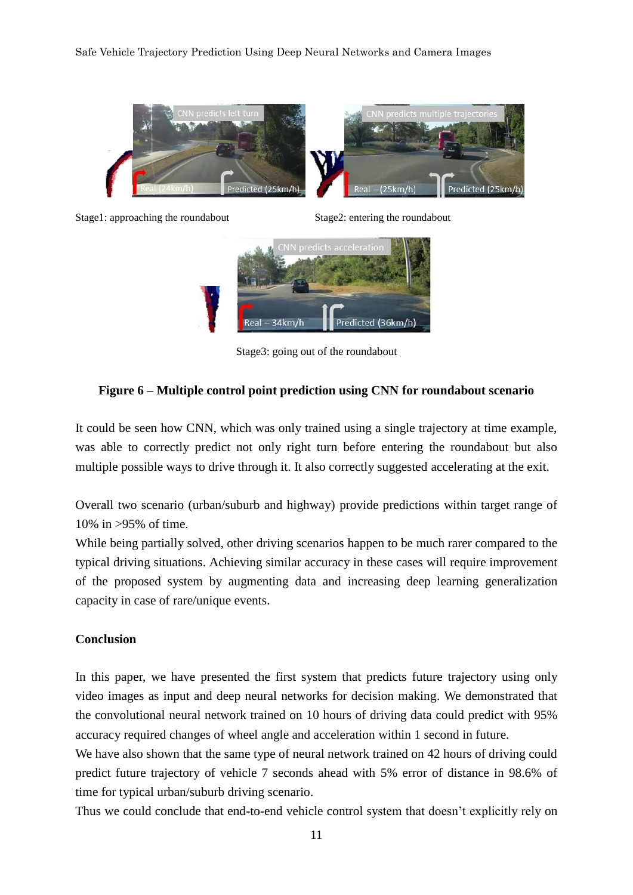#### Safe Vehicle Trajectory Prediction Using Deep Neural Networks and Camera Images



Stage1: approaching the roundabout Stage2: entering the roundabout



Stage3: going out of the roundabout

### **Figure 6 – Multiple control point prediction using CNN for roundabout scenario**

It could be seen how CNN, which was only trained using a single trajectory at time example, was able to correctly predict not only right turn before entering the roundabout but also multiple possible ways to drive through it. It also correctly suggested accelerating at the exit.

Overall two scenario (urban/suburb and highway) provide predictions within target range of 10% in >95% of time.

While being partially solved, other driving scenarios happen to be much rarer compared to the typical driving situations. Achieving similar accuracy in these cases will require improvement of the proposed system by augmenting data and increasing deep learning generalization capacity in case of rare/unique events.

#### **Conclusion**

In this paper, we have presented the first system that predicts future trajectory using only video images as input and deep neural networks for decision making. We demonstrated that the convolutional neural network trained on 10 hours of driving data could predict with 95% accuracy required changes of wheel angle and acceleration within 1 second in future.

We have also shown that the same type of neural network trained on 42 hours of driving could predict future trajectory of vehicle 7 seconds ahead with 5% error of distance in 98.6% of time for typical urban/suburb driving scenario.

Thus we could conclude that end-to-end vehicle control system that doesn't explicitly rely on